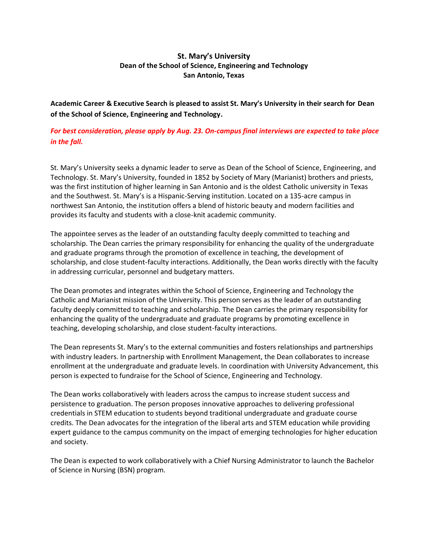# **St. Mary's University Dean of the School of Science, Engineering and Technology San Antonio, Texas**

**Academic Career & Executive Search is pleased to assist St. Mary's University in their search for Dean of the School of Science, Engineering and Technology.**

*For best consideration, please apply by Aug. 23. On-campus final interviews are expected to take place in the fall.*

St. Mary's University seeks a dynamic leader to serve as Dean of the School of Science, Engineering, and Technology. St. Mary's University, founded in 1852 by Society of Mary (Marianist) brothers and priests, was the first institution of higher learning in San Antonio and is the oldest Catholic university in Texas and the Southwest. St. Mary's is a Hispanic-Serving institution. Located on a 135-acre campus in northwest San Antonio, the institution offers a blend of historic beauty and modern facilities and provides its faculty and students with a close-knit academic community.

The appointee serves as the leader of an outstanding faculty deeply committed to teaching and scholarship. The Dean carries the primary responsibility for enhancing the quality of the undergraduate and graduate programs through the promotion of excellence in teaching, the development of scholarship, and close student-faculty interactions. Additionally, the Dean works directly with the faculty in addressing curricular, personnel and budgetary matters.

The Dean promotes and integrates within the School of Science, Engineering and Technology the Catholic and Marianist mission of the University. This person serves as the leader of an outstanding faculty deeply committed to teaching and scholarship. The Dean carries the primary responsibility for enhancing the quality of the undergraduate and graduate programs by promoting excellence in teaching, developing scholarship, and close student-faculty interactions.

The Dean represents St. Mary's to the external communities and fosters relationships and partnerships with industry leaders. In partnership with Enrollment Management, the Dean collaborates to increase enrollment at the undergraduate and graduate levels. In coordination with University Advancement, this person is expected to fundraise for the School of Science, Engineering and Technology.

The Dean works collaboratively with leaders across the campus to increase student success and persistence to graduation. The person proposes innovative approaches to delivering professional credentials in STEM education to students beyond traditional undergraduate and graduate course credits. The Dean advocates for the integration of the liberal arts and STEM education while providing expert guidance to the campus community on the impact of emerging technologies for higher education and society.

The Dean is expected to work collaboratively with a Chief Nursing Administrator to launch the Bachelor of Science in Nursing (BSN) program.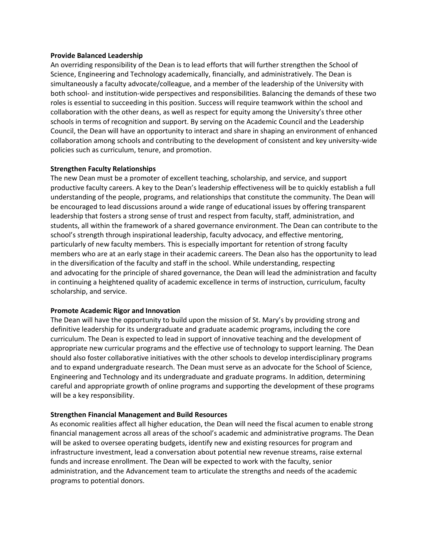#### **Provide Balanced Leadership**

An overriding responsibility of the Dean is to lead efforts that will further strengthen the School of Science, Engineering and Technology academically, financially, and administratively. The Dean is simultaneously a faculty advocate/colleague, and a member of the leadership of the University with both school- and institution-wide perspectives and responsibilities. Balancing the demands of these two roles is essential to succeeding in this position. Success will require teamwork within the school and collaboration with the other deans, as well as respect for equity among the University's three other schools in terms of recognition and support. By serving on the Academic Council and the Leadership Council, the Dean will have an opportunity to interact and share in shaping an environment of enhanced collaboration among schools and contributing to the development of consistent and key university-wide policies such as curriculum, tenure, and promotion.

#### **Strengthen Faculty Relationships**

The new Dean must be a promoter of excellent teaching, scholarship, and service, and support productive faculty careers. A key to the Dean's leadership effectiveness will be to quickly establish a full understanding of the people, programs, and relationships that constitute the community. The Dean will be encouraged to lead discussions around a wide range of educational issues by offering transparent leadership that fosters a strong sense of trust and respect from faculty, staff, administration, and students, all within the framework of a shared governance environment. The Dean can contribute to the school's strength through inspirational leadership, faculty advocacy, and effective mentoring, particularly of new faculty members. This is especially important for retention of strong faculty members who are at an early stage in their academic careers. The Dean also has the opportunity to lead in the diversification of the faculty and staff in the school. While understanding, respecting and advocating for the principle of shared governance, the Dean will lead the administration and faculty in continuing a heightened quality of academic excellence in terms of instruction, curriculum, faculty scholarship, and service.

## **Promote Academic Rigor and Innovation**

The Dean will have the opportunity to build upon the mission of St. Mary's by providing strong and definitive leadership for its undergraduate and graduate academic programs, including the core curriculum. The Dean is expected to lead in support of innovative teaching and the development of appropriate new curricular programs and the effective use of technology to support learning. The Dean should also foster collaborative initiatives with the other schools to develop interdisciplinary programs and to expand undergraduate research. The Dean must serve as an advocate for the School of Science, Engineering and Technology and its undergraduate and graduate programs. In addition, determining careful and appropriate growth of online programs and supporting the development of these programs will be a key responsibility.

#### **Strengthen Financial Management and Build Resources**

As economic realities affect all higher education, the Dean will need the fiscal acumen to enable strong financial management across all areas of the school's academic and administrative programs. The Dean will be asked to oversee operating budgets, identify new and existing resources for program and infrastructure investment, lead a conversation about potential new revenue streams, raise external funds and increase enrollment. The Dean will be expected to work with the faculty, senior administration, and the Advancement team to articulate the strengths and needs of the academic programs to potential donors.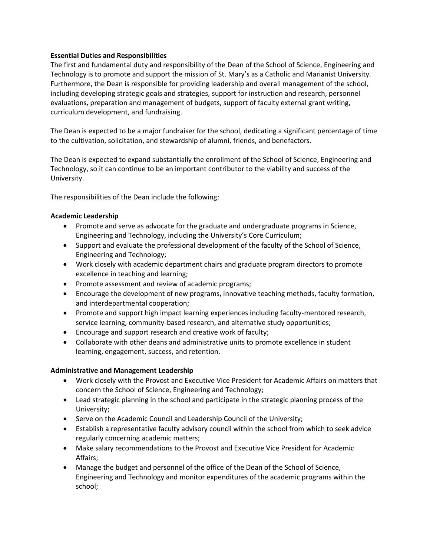## **Essential Duties and Responsibilities**

The first and fundamental duty and responsibility of the Dean of the School of Science, Engineering and Technology is to promote and support the mission of St. Mary's as a Catholic and Marianist University. Furthermore, the Dean is responsible for providing leadership and overall management of the school, including developing strategic goals and strategies*,* support for instruction and research, personnel evaluations, preparation and management of budgets, support of faculty external grant writing, curriculum development, and fundraising.

The Dean is expected to be a major fundraiser for the school, dedicating a significant percentage of time to the cultivation, solicitation, and stewardship of alumni, friends, and benefactors.

The Dean is expected to expand substantially the enrollment of the School of Science, Engineering and Technology, so it can continue to be an important contributor to the viability and success of the University.

The responsibilities of the Dean include the following:

## **Academic Leadership**

- Promote and serve as advocate for the graduate and undergraduate programs in Science, Engineering and Technology, including the University's Core Curriculum;
- Support and evaluate the professional development of the faculty of the School of Science, Engineering and Technology;
- Work closely with academic department chairs and graduate program directors to promote excellence in teaching and learning;
- Promote assessment and review of academic programs;
- Encourage the development of new programs, innovative teaching methods, faculty formation, and interdepartmental cooperation;
- Promote and support high impact learning experiences including faculty-mentored research, service learning, community-based research, and alternative study opportunities;
- Encourage and support research and creative work of faculty;
- Collaborate with other deans and administrative units to promote excellence in student learning, engagement, success, and retention.

## **Administrative and Management Leadership**

- Work closely with the Provost and Executive Vice President for Academic Affairs on matters that concern the School of Science, Engineering and Technology;
- Lead strategic planning in the school and participate in the strategic planning process of the University;
- Serve on the Academic Council and Leadership Council of the University;
- Establish a representative faculty advisory council within the school from which to seek advice regularly concerning academic matters;
- Make salary recommendations to the Provost and Executive Vice President for Academic Affairs;
- Manage the budget and personnel of the office of the Dean of the School of Science, Engineering and Technology and monitor expenditures of the academic programs within the school;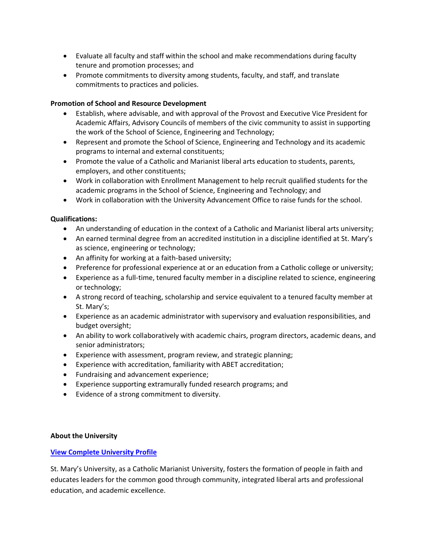- Evaluate all faculty and staff within the school and make recommendations during faculty tenure and promotion processes; and
- Promote commitments to diversity among students, faculty, and staff, and translate commitments to practices and policies.

## **Promotion of School and Resource Development**

- Establish, where advisable, and with approval of the Provost and Executive Vice President for Academic Affairs, Advisory Councils of members of the civic community to assist in supporting the work of the School of Science, Engineering and Technology;
- Represent and promote the School of Science, Engineering and Technology and its academic programs to internal and external constituents;
- Promote the value of a Catholic and Marianist liberal arts education to students, parents, employers, and other constituents;
- Work in collaboration with Enrollment Management to help recruit qualified students for the academic programs in the School of Science, Engineering and Technology; and
- Work in collaboration with the University Advancement Office to raise funds for the school.

## **Qualifications:**

- An understanding of education in the context of a Catholic and Marianist liberal arts university;
- An earned terminal degree from an accredited institution in a discipline identified at St. Mary's as science, engineering or technology;
- An affinity for working at a faith-based university;
- Preference for professional experience at or an education from a Catholic college or university;
- Experience as a full-time, tenured faculty member in a discipline related to science, engineering or technology;
- A strong record of teaching, scholarship and service equivalent to a tenured faculty member at St. Mary's;
- Experience as an academic administrator with supervisory and evaluation responsibilities, and budget oversight;
- An ability to work collaboratively with academic chairs, program directors, academic deans, and senior administrators;
- Experience with assessment, program review, and strategic planning;
- Experience with accreditation, familiarity with ABET accreditation;
- Fundraising and advancement experience;
- Experience supporting extramurally funded research programs; and
- Evidence of a strong commitment to diversity.

## **About the University**

## **[View Complete University Profile](https://acesrch.com/saint-marys-profile)**

St. Mary's University, as a Catholic Marianist University, fosters the formation of people in faith and educates leaders for the common good through community, integrated liberal arts and professional education, and academic excellence.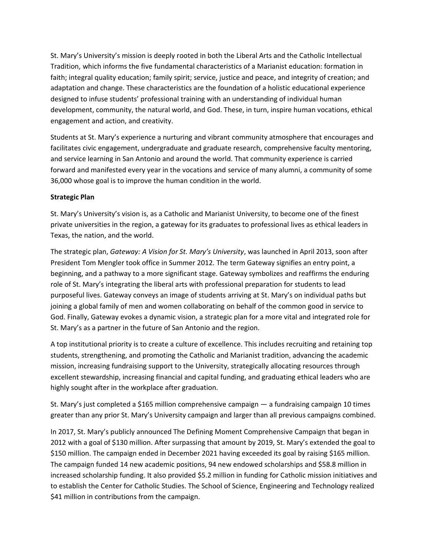St. Mary's University's mission is deeply rooted in both the Liberal Arts and the Catholic Intellectual Tradition, which informs the five fundamental characteristics of a Marianist education: formation in faith; integral quality education; family spirit; service, justice and peace, and integrity of creation; and adaptation and change. These characteristics are the foundation of a holistic educational experience designed to infuse students' professional training with an understanding of individual human development, community, the natural world, and God. These, in turn, inspire human vocations, ethical engagement and action, and creativity.

Students at St. Mary's experience a nurturing and vibrant community atmosphere that encourages and facilitates civic engagement, undergraduate and graduate research, comprehensive faculty mentoring, and service learning in San Antonio and around the world. That community experience is carried forward and manifested every year in the vocations and service of many alumni, a community of some 36,000 whose goal is to improve the human condition in the world.

## **Strategic Plan**

St. Mary's University's vision is, as a Catholic and Marianist University, to become one of the finest private universities in the region, a gateway for its graduates to professional lives as ethical leaders in Texas, the nation, and the world.

The strategic plan, *Gateway: A Vision for St. Mary's University*, was launched in April 2013, soon after President Tom Mengler took office in Summer 2012. The term Gateway signifies an entry point, a beginning, and a pathway to a more significant stage. Gateway symbolizes and reaffirms the enduring role of St. Mary's integrating the liberal arts with professional preparation for students to lead purposeful lives. Gateway conveys an image of students arriving at St. Mary's on individual paths but joining a global family of men and women collaborating on behalf of the common good in service to God. Finally, Gateway evokes a dynamic vision, a strategic plan for a more vital and integrated role for St. Mary's as a partner in the future of San Antonio and the region.

A top institutional priority is to create a culture of excellence. This includes recruiting and retaining top students, strengthening, and promoting the Catholic and Marianist tradition, advancing the academic mission, increasing fundraising support to the University, strategically allocating resources through excellent stewardship, increasing financial and capital funding, and graduating ethical leaders who are highly sought after in the workplace after graduation.

St. Mary's just completed a \$165 million comprehensive campaign — a fundraising campaign 10 times greater than any prior St. Mary's University campaign and larger than all previous campaigns combined.

In 2017, St. Mary's publicly announced The Defining Moment Comprehensive Campaign that began in 2012 with a goal of \$130 million. After surpassing that amount by 2019, St. Mary's extended the goal to \$150 million. The campaign ended in December 2021 having exceeded its goal by raising \$165 million. The campaign funded 14 new academic positions, 94 new endowed scholarships and \$58.8 million in increased scholarship funding. It also provided \$5.2 million in funding for Catholic mission initiatives and to establish the Center for Catholic Studies. The School of Science, Engineering and Technology realized \$41 million in contributions from the campaign.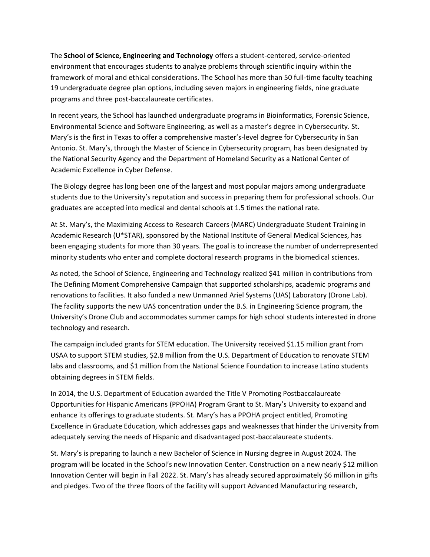The **School of Science, Engineering and Technology** offers a student-centered, service-oriented environment that encourages students to analyze problems through scientific inquiry within the framework of moral and ethical considerations. The School has more than 50 full-time faculty teaching 19 undergraduate degree plan options, including seven majors in engineering fields, nine graduate programs and three post-baccalaureate certificates.

In recent years, the School has launched undergraduate programs in Bioinformatics, Forensic Science, Environmental Science and Software Engineering, as well as a master's degree in Cybersecurity. St. Mary's is the first in Texas to offer a comprehensive master's-level degree for Cybersecurity in San Antonio. St. Mary's, through the Master of Science in Cybersecurity program, has been designated by the National Security Agency and the Department of Homeland Security as a National Center of Academic Excellence in Cyber Defense.

The Biology degree has long been one of the largest and most popular majors among undergraduate students due to the University's reputation and success in preparing them for professional schools. Our graduates are accepted into medical and dental schools at 1.5 times the national rate.

At St. Mary's, the Maximizing Access to Research Careers (MARC) Undergraduate Student Training in Academic Research (U\*STAR), sponsored by the National Institute of General Medical Sciences, has been engaging students for more than 30 years. The goal is to increase the number of underrepresented minority students who enter and complete doctoral research programs in the biomedical sciences.

As noted, the School of Science, Engineering and Technology realized \$41 million in contributions from The Defining Moment Comprehensive Campaign that supported scholarships, academic programs and renovations to facilities. It also funded a new Unmanned Ariel Systems (UAS) Laboratory (Drone Lab). The facility supports the new UAS concentration under the B.S. in Engineering Science program, the University's Drone Club and accommodates summer camps for high school students interested in drone technology and research.

The campaign included grants for STEM education. The University received \$1.15 million grant from USAA to support STEM studies, \$2.8 million from the U.S. Department of Education to renovate STEM labs and classrooms, and \$1 million from the National Science Foundation to increase Latino students obtaining degrees in STEM fields.

In 2014, the U.S. Department of Education awarded the Title V Promoting Postbaccalaureate Opportunities for Hispanic Americans (PPOHA) Program Grant to St. Mary's University to expand and enhance its offerings to graduate students. St. Mary's has a PPOHA project entitled, Promoting Excellence in Graduate Education, which addresses gaps and weaknesses that hinder the University from adequately serving the needs of Hispanic and disadvantaged post-baccalaureate students. 

St. Mary's is preparing to launch a new Bachelor of Science in Nursing degree in August 2024. The program will be located in the School's new Innovation Center. Construction on a new nearly \$12 million Innovation Center will begin in Fall 2022. St. Mary's has already secured approximately \$6 million in gifts and pledges. Two of the three floors of the facility will support Advanced Manufacturing research,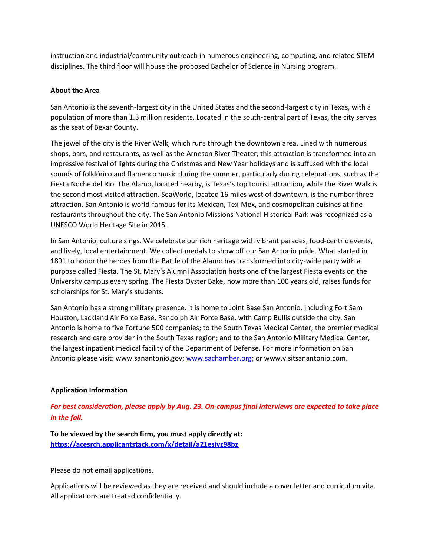instruction and industrial/community outreach in numerous engineering, computing, and related STEM disciplines. The third floor will house the proposed Bachelor of Science in Nursing program.

## **About the Area**

San Antonio is the seventh-largest city in the United States and the second-largest city in Texas, with a population of more than 1.3 million residents. Located in the south-central part of Texas, the city serves as the seat of Bexar County.

The jewel of the city is the River Walk, which runs through the downtown area. Lined with numerous shops, bars, and restaurants, as well as the Arneson River Theater, this attraction is transformed into an impressive festival of lights during the Christmas and New Year holidays and is suffused with the local sounds of folklórico and flamenco music during the summer, particularly during celebrations, such as the Fiesta Noche del Rio. The Alamo, located nearby, is Texas's top tourist attraction, while the River Walk is the second most visited attraction. SeaWorld, located 16 miles west of downtown, is the number three attraction. San Antonio is world-famous for its Mexican, Tex-Mex, and cosmopolitan cuisines at fine restaurants throughout the city. The San Antonio Missions National Historical Park was recognized as a UNESCO World Heritage Site in 2015.

In San Antonio, culture sings. We celebrate our rich heritage with vibrant parades, food-centric events, and lively, local entertainment. We collect medals to show off our San Antonio pride. What started in 1891 to honor the heroes from the Battle of the Alamo has transformed into city-wide party with a purpose called Fiesta. The St. Mary's Alumni Association hosts one of the largest Fiesta events on the University campus every spring. The Fiesta Oyster Bake, now more than 100 years old, raises funds for scholarships for St. Mary's students.

San Antonio has a strong military presence. It is home to Joint Base San Antonio, including Fort Sam Houston, Lackland Air Force Base, Randolph Air Force Base, with Camp Bullis outside the city. San Antonio is home to five Fortune 500 companies; to the South Texas Medical Center, the premier medical research and care provider in the South Texas region; and to the San Antonio Military Medical Center, the largest inpatient medical facility of the Department of Defense. For more information on San Antonio please visit: www.sanantonio.gov; [www.sachamber.org;](http://www.sachamber.org/) or www.visitsanantonio.com.

## **Application Information**

*For best consideration, please apply by Aug. 23. On-campus final interviews are expected to take place in the fall.*

**To be viewed by the search firm, you must apply directly at: <https://acesrch.applicantstack.com/x/detail/a21esjyz98bz>**

Please do not email applications.

Applications will be reviewed as they are received and should include a cover letter and curriculum vita. All applications are treated confidentially.